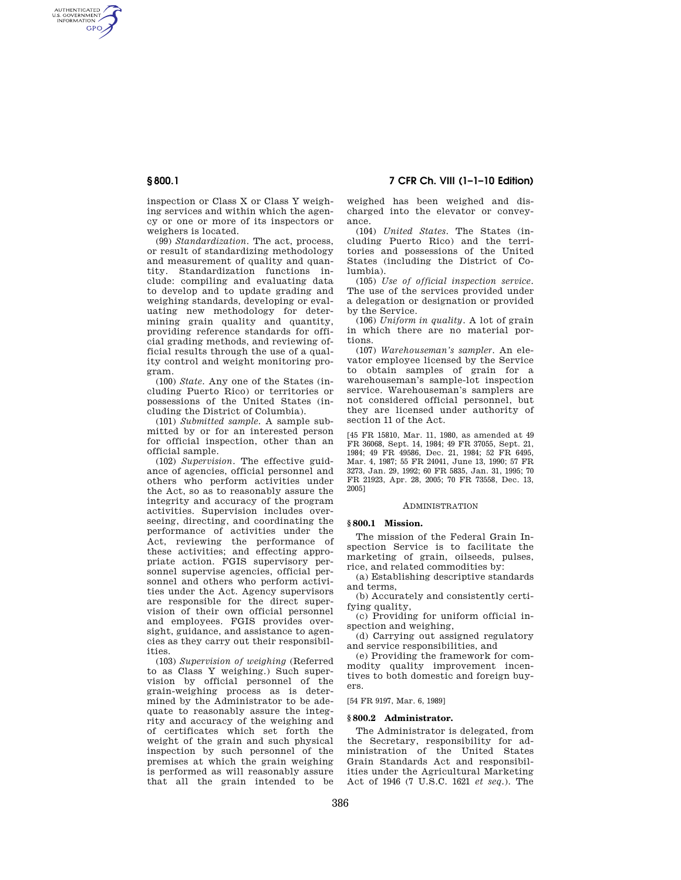AUTHENTICATED<br>U.S. GOVERNMENT<br>INFORMATION **GPO** 

> inspection or Class X or Class Y weighing services and within which the agency or one or more of its inspectors or weighers is located.

> (99) *Standardization.* The act, process, or result of standardizing methodology and measurement of quality and quantity. Standardization functions include: compiling and evaluating data to develop and to update grading and weighing standards, developing or evaluating new methodology for determining grain quality and quantity, providing reference standards for official grading methods, and reviewing official results through the use of a quality control and weight monitoring program.

> (100) *State.* Any one of the States (including Puerto Rico) or territories or possessions of the United States (including the District of Columbia).

> (101) *Submitted sample.* A sample submitted by or for an interested person for official inspection, other than an official sample.

(102) *Supervision.* The effective guidance of agencies, official personnel and others who perform activities under the Act, so as to reasonably assure the integrity and accuracy of the program activities. Supervision includes overseeing, directing, and coordinating the performance of activities under the Act, reviewing the performance of these activities; and effecting appropriate action. FGIS supervisory personnel supervise agencies, official personnel and others who perform activities under the Act. Agency supervisors are responsible for the direct supervision of their own official personnel and employees. FGIS provides oversight, guidance, and assistance to agencies as they carry out their responsibilities.

(103) *Supervision of weighing* (Referred to as Class Y weighing.) Such supervision by official personnel of the grain-weighing process as is determined by the Administrator to be adequate to reasonably assure the integrity and accuracy of the weighing and of certificates which set forth the weight of the grain and such physical inspection by such personnel of the premises at which the grain weighing is performed as will reasonably assure that all the grain intended to be

**§ 800.1 7 CFR Ch. VIII (1–1–10 Edition)** 

weighed has been weighed and discharged into the elevator or conveyance.

(104) *United States.* The States (including Puerto Rico) and the territories and possessions of the United States (including the District of Columbia).

(105) *Use of official inspection service.*  The use of the services provided under a delegation or designation or provided by the Service.

(106) *Uniform in quality.* A lot of grain in which there are no material portions.

(107) *Warehouseman's sampler.* An elevator employee licensed by the Service to obtain samples of grain for a warehouseman's sample-lot inspection service. Warehouseman's samplers are not considered official personnel, but they are licensed under authority of section 11 of the Act.

[45 FR 15810, Mar. 11, 1980, as amended at 49 FR 36068, Sept. 14, 1984; 49 FR 37055, Sept. 21, 1984; 49 FR 49586, Dec. 21, 1984; 52 FR 6495, Mar. 4, 1987; 55 FR 24041, June 13, 1990; 57 FR 3273, Jan. 29, 1992; 60 FR 5835, Jan. 31, 1995; 70 FR 21923, Apr. 28, 2005; 70 FR 73558, Dec. 13, 2005]

#### ADMINISTRATION

# **§ 800.1 Mission.**

The mission of the Federal Grain Inspection Service is to facilitate the marketing of grain, oilseeds, pulses, rice, and related commodities by:

(a) Establishing descriptive standards and terms,

(b) Accurately and consistently certifying quality,

(c) Providing for uniform official inspection and weighing,

(d) Carrying out assigned regulatory and service responsibilities, and

(e) Providing the framework for commodity quality improvement incentives to both domestic and foreign buyers.

[54 FR 9197, Mar. 6, 1989]

### **§ 800.2 Administrator.**

The Administrator is delegated, from the Secretary, responsibility for administration of the United States Grain Standards Act and responsibilities under the Agricultural Marketing Act of 1946 (7 U.S.C. 1621 *et seq.*). The